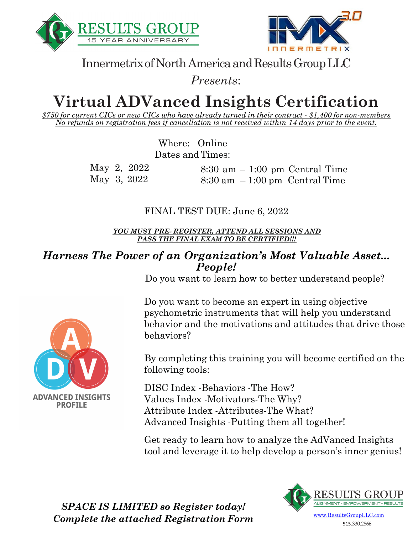



Innermetrix of North America and Results Group LLC

*Presents*:

# **Virtual ADVanced Insights Certification**

*\$750 for current CICs or new CICs who have already turned in their contract - \$1,400 for non-members No refunds on registration fees if cancellation is not received within 14 days prior to the event.*

> Where: Online Dates and Times:

| May 2, 2022 | $8:30$ am $-1:00$ pm Central Time                |  |
|-------------|--------------------------------------------------|--|
| May 3, 2022 | $8:30 \text{ am } -1:00 \text{ pm}$ Central Time |  |

FINAL TEST DUE: June 6, 2022

*YOU MUST PRE- REGISTER, ATTEND ALL SESSIONS AND PASS THE FINAL EXAM TO BE CERTIFIED!!!*

#### *Harness The Power of an Organization's Most Valuable Asset... People!*

Do you want to learn how to better understand people?

Do you want to become an expert in using objective psychometric instruments that will help you understand behavior and the motivations and attitudes that drive those behaviors?

By completing this training you will become certified on the following tools:

DISC Index -Behaviors -The How? Values Index -Motivators-The Why? Attribute Index -Attributes-The What? Advanced Insights -Putting them all together!

Get ready to learn how to analyze the AdVanced Insights tool and leverage it to help develop a person's inner genius!



515.330.2866

**ADVANCED INSIGHTS PROFILE** 

> *SPACE IS LIMITED so Register today! Complete the attached Registration Form*